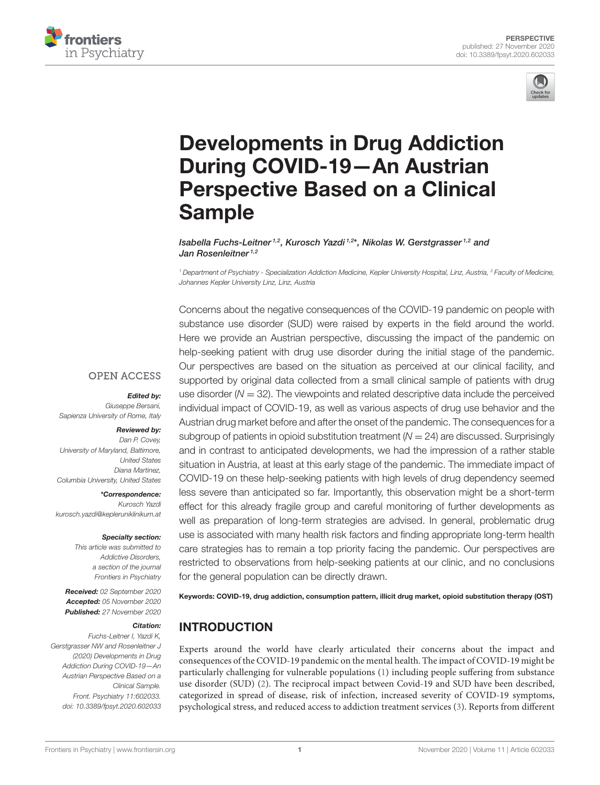



# [Developments in Drug Addiction](https://www.frontiersin.org/articles/10.3389/fpsyt.2020.602033/full) During COVID-19—An Austrian Perspective Based on a Clinical Sample

Isabella Fuchs-Leitner<sup>1,2</sup>, Kurosch Yazdi <sup>1,2\*</sup>, Nikolas W. Gerstgrasser <sup>1,2</sup> and Jan Rosenleitner<sup>1,2</sup>

*<sup>1</sup> Department of Psychiatry - Specialization Addiction Medicine, Kepler University Hospital, Linz, Austria, <sup>2</sup> Faculty of Medicine, Johannes Kepler University Linz, Linz, Austria*

Concerns about the negative consequences of the COVID-19 pandemic on people with substance use disorder (SUD) were raised by experts in the field around the world.

Here we provide an Austrian perspective, discussing the impact of the pandemic on help-seeking patient with drug use disorder during the initial stage of the pandemic. Our perspectives are based on the situation as perceived at our clinical facility, and supported by original data collected from a small clinical sample of patients with drug use disorder (*N* = 32). The viewpoints and related descriptive data include the perceived individual impact of COVID-19, as well as various aspects of drug use behavior and the Austrian drug market before and after the onset of the pandemic. The consequences for a subgroup of patients in opioid substitution treatment ( $N = 24$ ) are discussed. Surprisingly and in contrast to anticipated developments, we had the impression of a rather stable situation in Austria, at least at this early stage of the pandemic. The immediate impact of COVID-19 on these help-seeking patients with high levels of drug dependency seemed less severe than anticipated so far. Importantly, this observation might be a short-term effect for this already fragile group and careful monitoring of further developments as well as preparation of long-term strategies are advised. In general, problematic drug use is associated with many health risk factors and finding appropriate long-term health care strategies has to remain a top priority facing the pandemic. Our perspectives are restricted to observations from help-seeking patients at our clinic, and no conclusions for the general population can be directly drawn.

Keywords: COVID-19, drug addiction, consumption pattern, illicit drug market, opioid substitution therapy (OST)

## INTRODUCTION

Experts around the world have clearly articulated their concerns about the impact and consequences of the COVID-19 pandemic on the mental health. The impact of COVID-19 might be particularly challenging for vulnerable populations [\(1\)](#page-4-0) including people suffering from substance use disorder (SUD) [\(2\)](#page-4-1). The reciprocal impact between Covid-19 and SUD have been described, categorized in spread of disease, risk of infection, increased severity of COVID-19 symptoms, psychological stress, and reduced access to addiction treatment services [\(3\)](#page-4-2). Reports from different

#### **OPEN ACCESS**

#### Edited by:

*Giuseppe Bersani, Sapienza University of Rome, Italy*

#### Reviewed by:

*Dan P. Covey, University of Maryland, Baltimore, United States Diana Martinez, Columbia University, United States*

\*Correspondence: *Kurosch Yazdi [kurosch.yazdi@kepleruniklinikum.at](mailto:kurosch.yazdi@kepleruniklinikum.at)*

Specialty section:

*This article was submitted to Addictive Disorders, a section of the journal Frontiers in Psychiatry*

Received: *02 September 2020* Accepted: *05 November 2020* Published: *27 November 2020*

#### Citation:

*Fuchs-Leitner I, Yazdi K, Gerstgrasser NW and Rosenleitner J (2020) Developments in Drug Addiction During COVID-19—An Austrian Perspective Based on a Clinical Sample. Front. Psychiatry 11:602033. doi: [10.3389/fpsyt.2020.602033](https://doi.org/10.3389/fpsyt.2020.602033)*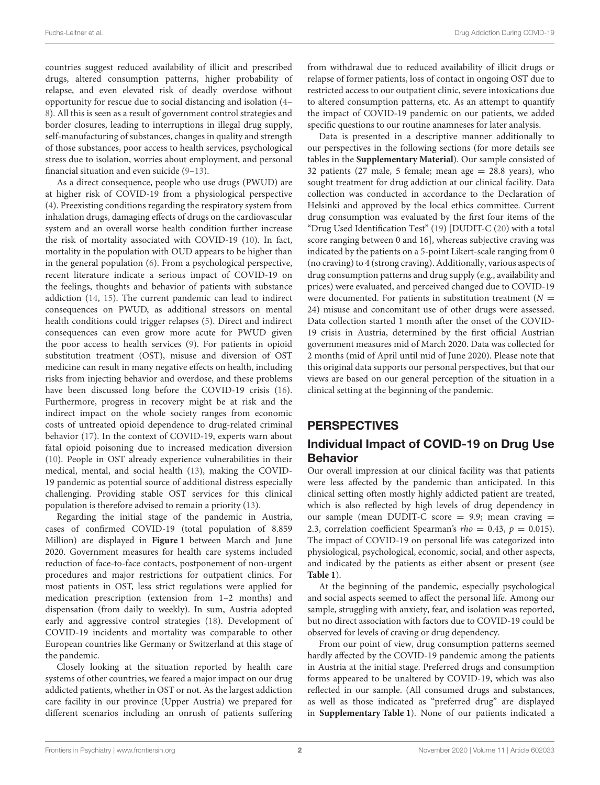countries suggest reduced availability of illicit and prescribed drugs, altered consumption patterns, higher probability of relapse, and even elevated risk of deadly overdose without opportunity for rescue due to social distancing and isolation [\(4–](#page-4-3) [8\)](#page-5-0). All this is seen as a result of government control strategies and border closures, leading to interruptions in illegal drug supply, self-manufacturing of substances, changes in quality and strength of those substances, poor access to health services, psychological stress due to isolation, worries about employment, and personal financial situation and even suicide [\(9](#page-5-1)[–13\)](#page-5-2).

As a direct consequence, people who use drugs (PWUD) are at higher risk of COVID-19 from a physiological perspective [\(4\)](#page-4-3). Preexisting conditions regarding the respiratory system from inhalation drugs, damaging effects of drugs on the cardiovascular system and an overall worse health condition further increase the risk of mortality associated with COVID-19 [\(10\)](#page-5-3). In fact, mortality in the population with OUD appears to be higher than in the general population [\(6\)](#page-4-4). From a psychological perspective, recent literature indicate a serious impact of COVID-19 on the feelings, thoughts and behavior of patients with substance addiction [\(14,](#page-5-4) [15\)](#page-5-5). The current pandemic can lead to indirect consequences on PWUD, as additional stressors on mental health conditions could trigger relapses [\(5\)](#page-4-5). Direct and indirect consequences can even grow more acute for PWUD given the poor access to health services [\(9\)](#page-5-1). For patients in opioid substitution treatment (OST), misuse and diversion of OST medicine can result in many negative effects on health, including risks from injecting behavior and overdose, and these problems have been discussed long before the COVID-19 crisis [\(16\)](#page-5-6). Furthermore, progress in recovery might be at risk and the indirect impact on the whole society ranges from economic costs of untreated opioid dependence to drug-related criminal behavior [\(17\)](#page-5-7). In the context of COVID-19, experts warn about fatal opioid poisoning due to increased medication diversion [\(10\)](#page-5-3). People in OST already experience vulnerabilities in their medical, mental, and social health [\(13\)](#page-5-2), making the COVID-19 pandemic as potential source of additional distress especially challenging. Providing stable OST services for this clinical population is therefore advised to remain a priority [\(13\)](#page-5-2).

Regarding the initial stage of the pandemic in Austria, cases of confirmed COVID-19 (total population of 8.859 Million) are displayed in **[Figure 1](#page-2-0)** between March and June 2020. Government measures for health care systems included reduction of face-to-face contacts, postponement of non-urgent procedures and major restrictions for outpatient clinics. For most patients in OST, less strict regulations were applied for medication prescription (extension from 1–2 months) and dispensation (from daily to weekly). In sum, Austria adopted early and aggressive control strategies [\(18\)](#page-5-8). Development of COVID-19 incidents and mortality was comparable to other European countries like Germany or Switzerland at this stage of the pandemic.

Closely looking at the situation reported by health care systems of other countries, we feared a major impact on our drug addicted patients, whether in OST or not. As the largest addiction care facility in our province (Upper Austria) we prepared for different scenarios including an onrush of patients suffering from withdrawal due to reduced availability of illicit drugs or relapse of former patients, loss of contact in ongoing OST due to restricted access to our outpatient clinic, severe intoxications due to altered consumption patterns, etc. As an attempt to quantify the impact of COVID-19 pandemic on our patients, we added specific questions to our routine anamneses for later analysis.

Data is presented in a descriptive manner additionally to our perspectives in the following sections (for more details see tables in the **[Supplementary Material](#page-4-6)**). Our sample consisted of 32 patients (27 male, 5 female; mean age  $= 28.8$  years), who sought treatment for drug addiction at our clinical facility. Data collection was conducted in accordance to the Declaration of Helsinki and approved by the local ethics committee. Current drug consumption was evaluated by the first four items of the "Drug Used Identification Test" [\(19\)](#page-5-9) [DUDIT-C [\(20\)](#page-5-10) with a total score ranging between 0 and 16], whereas subjective craving was indicated by the patients on a 5-point Likert-scale ranging from 0 (no craving) to 4 (strong craving). Additionally, various aspects of drug consumption patterns and drug supply (e.g., availability and prices) were evaluated, and perceived changed due to COVID-19 were documented. For patients in substitution treatment  $(N =$ 24) misuse and concomitant use of other drugs were assessed. Data collection started 1 month after the onset of the COVID-19 crisis in Austria, determined by the first official Austrian government measures mid of March 2020. Data was collected for 2 months (mid of April until mid of June 2020). Please note that this original data supports our personal perspectives, but that our views are based on our general perception of the situation in a clinical setting at the beginning of the pandemic.

# **PERSPECTIVES**

# Individual Impact of COVID-19 on Drug Use Behavior

Our overall impression at our clinical facility was that patients were less affected by the pandemic than anticipated. In this clinical setting often mostly highly addicted patient are treated, which is also reflected by high levels of drug dependency in our sample (mean DUDIT-C score  $= 9.9$ ; mean craving  $=$ 2.3, correlation coefficient Spearman's  $rho = 0.43$ ,  $p = 0.015$ ). The impact of COVID-19 on personal life was categorized into physiological, psychological, economic, social, and other aspects, and indicated by the patients as either absent or present (see **[Table 1](#page-2-1)**).

At the beginning of the pandemic, especially psychological and social aspects seemed to affect the personal life. Among our sample, struggling with anxiety, fear, and isolation was reported, but no direct association with factors due to COVID-19 could be observed for levels of craving or drug dependency.

From our point of view, drug consumption patterns seemed hardly affected by the COVID-19 pandemic among the patients in Austria at the initial stage. Preferred drugs and consumption forms appeared to be unaltered by COVID-19, which was also reflected in our sample. (All consumed drugs and substances, as well as those indicated as "preferred drug" are displayed in **[Supplementary Table 1](#page-4-6)**). None of our patients indicated a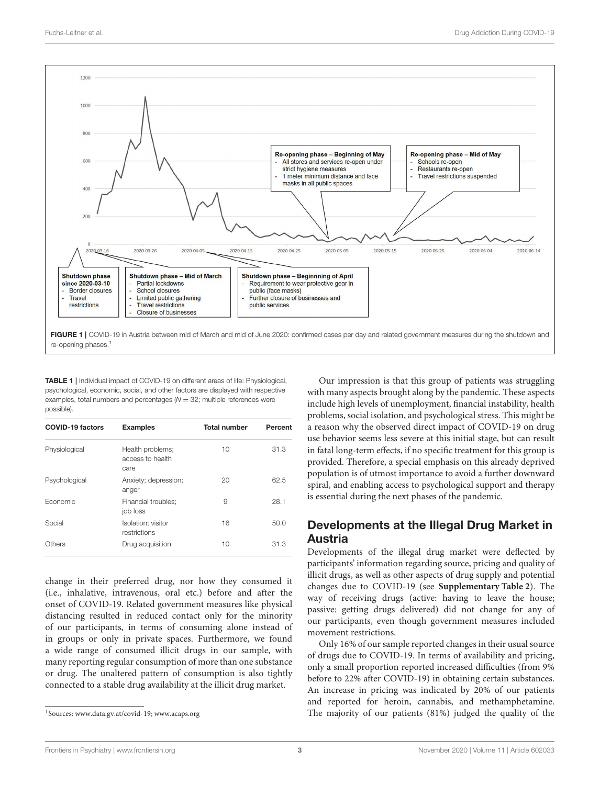

<span id="page-2-1"></span><span id="page-2-0"></span>TABLE 1 | Individual impact of COVID-19 on different areas of life: Physiological, psychological, economic, social, and other factors are displayed with respective examples, total numbers and percentages  $(N = 32;$  multiple references were possible).

| <b>COVID-19 factors</b> | <b>Examples</b>                              | <b>Total number</b> | Percent |
|-------------------------|----------------------------------------------|---------------------|---------|
| Physiological           | Health problems:<br>access to health<br>care | 10                  | 31.3    |
| Psychological           | Anxiety; depression;<br>anger                | 20                  | 62.5    |
| Economic                | Financial troubles:<br>job loss              | 9                   | 28.1    |
| Social                  | Isolation; visitor<br>restrictions           | 16                  | 50.0    |
| Others                  | Drug acquisition                             | 10                  | 31.3    |

change in their preferred drug, nor how they consumed it (i.e., inhalative, intravenous, oral etc.) before and after the onset of COVID-19. Related government measures like physical distancing resulted in reduced contact only for the minority of our participants, in terms of consuming alone instead of in groups or only in private spaces. Furthermore, we found a wide range of consumed illicit drugs in our sample, with many reporting regular consumption of more than one substance or drug. The unaltered pattern of consumption is also tightly connected to a stable drug availability at the illicit drug market.

Our impression is that this group of patients was struggling with many aspects brought along by the pandemic. These aspects include high levels of unemployment, financial instability, health problems, social isolation, and psychological stress. This might be a reason why the observed direct impact of COVID-19 on drug use behavior seems less severe at this initial stage, but can result in fatal long-term effects, if no specific treatment for this group is provided. Therefore, a special emphasis on this already deprived population is of utmost importance to avoid a further downward spiral, and enabling access to psychological support and therapy is essential during the next phases of the pandemic.

# Developments at the Illegal Drug Market in Austria

Developments of the illegal drug market were deflected by participants' information regarding source, pricing and quality of illicit drugs, as well as other aspects of drug supply and potential changes due to COVID-19 (see **[Supplementary Table 2](#page-4-6)**). The way of receiving drugs (active: having to leave the house; passive: getting drugs delivered) did not change for any of our participants, even though government measures included movement restrictions.

Only 16% of our sample reported changes in their usual source of drugs due to COVID-19. In terms of availability and pricing, only a small proportion reported increased difficulties (from 9% before to 22% after COVID-19) in obtaining certain substances. An increase in pricing was indicated by 20% of our patients and reported for heroin, cannabis, and methamphetamine. The majority of our patients (81%) judged the quality of the

<span id="page-2-2"></span><sup>1</sup> Sources: [www.data.gv.at/covid-19;](www.data.gv.at/covid-19)<www.acaps.org>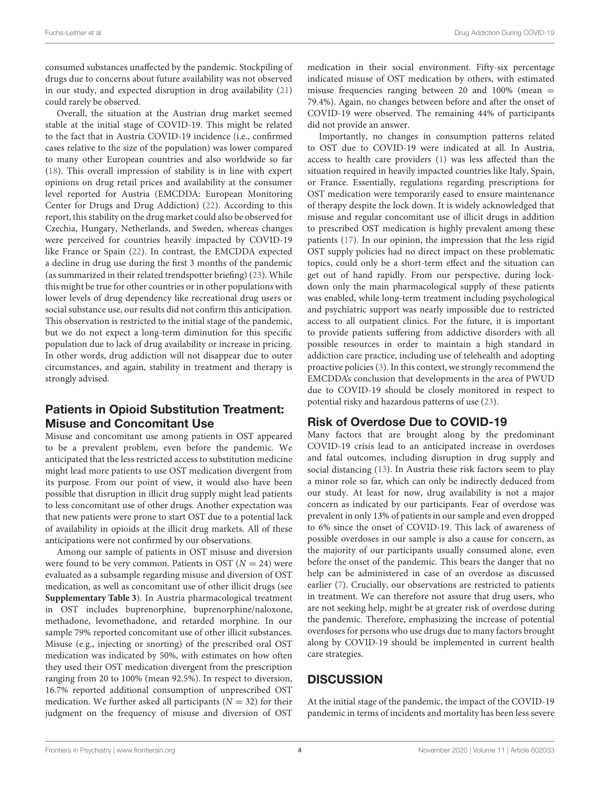consumed substances unaffected by the pandemic. Stockpiling of drugs due to concerns about future availability was not observed in our study, and expected disruption in drug availability [\(21\)](#page-5-11) could rarely be observed.

Overall, the situation at the Austrian drug market seemed stable at the initial stage of COVID-19. This might be related to the fact that in Austria COVID-19 incidence (i.e., confirmed cases relative to the size of the population) was lower compared to many other European countries and also worldwide so far [\(18\)](#page-5-8). This overall impression of stability is in line with expert opinions on drug retail prices and availability at the consumer level reported for Austria (EMCDDA: European Monitoring Center for Drugs and Drug Addiction) [\(22\)](#page-5-12). According to this report, this stability on the drug market could also be observed for Czechia, Hungary, Netherlands, and Sweden, whereas changes were perceived for countries heavily impacted by COVID-19 like France or Spain [\(22\)](#page-5-12). In contrast, the EMCDDA expected a decline in drug use during the first 3 months of the pandemic (as summarized in their related trendspotter briefing) [\(23\)](#page-5-13). While this might be true for other countries or in other populations with lower levels of drug dependency like recreational drug users or social substance use, our results did not confirm this anticipation. This observation is restricted to the initial stage of the pandemic, but we do not expect a long-term diminution for this specific population due to lack of drug availability or increase in pricing. In other words, drug addiction will not disappear due to outer circumstances, and again, stability in treatment and therapy is strongly advised.

## Patients in Opioid Substitution Treatment: Misuse and Concomitant Use

Misuse and concomitant use among patients in OST appeared to be a prevalent problem, even before the pandemic. We anticipated that the less restricted access to substitution medicine might lead more patients to use OST medication divergent from its purpose. From our point of view, it would also have been possible that disruption in illicit drug supply might lead patients to less concomitant use of other drugs. Another expectation was that new patients were prone to start OST due to a potential lack of availability in opioids at the illicit drug markets. All of these anticipations were not confirmed by our observations.

Among our sample of patients in OST misuse and diversion were found to be very common. Patients in OST ( $N = 24$ ) were evaluated as a subsample regarding misuse and diversion of OST medication, as well as concomitant use of other illicit drugs (see **[Supplementary Table 3](#page-4-6)**). In Austria pharmacological treatment in OST includes buprenorphine, buprenorphine/naloxone, methadone, levomethadone, and retarded morphine. In our sample 79% reported concomitant use of other illicit substances. Misuse (e.g., injecting or snorting) of the prescribed oral OST medication was indicated by 50%, with estimates on how often they used their OST medication divergent from the prescription ranging from 20 to 100% (mean 92.5%). In respect to diversion, 16.7% reported additional consumption of unprescribed OST medication. We further asked all participants ( $N = 32$ ) for their judgment on the frequency of misuse and diversion of OST medication in their social environment. Fifty-six percentage indicated misuse of OST medication by others, with estimated misuse frequencies ranging between 20 and 100% (mean = 79.4%). Again, no changes between before and after the onset of COVID-19 were observed. The remaining 44% of participants did not provide an answer.

Importantly, no changes in consumption patterns related to OST due to COVID-19 were indicated at all. In Austria, access to health care providers [\(1\)](#page-4-0) was less affected than the situation required in heavily impacted countries like Italy, Spain, or France. Essentially, regulations regarding prescriptions for OST medication were temporarily eased to ensure maintenance of therapy despite the lock down. It is widely acknowledged that misuse and regular concomitant use of illicit drugs in addition to prescribed OST medication is highly prevalent among these patients [\(17\)](#page-5-7). In our opinion, the impression that the less rigid OST supply policies had no direct impact on these problematic topics, could only be a short-term effect and the situation can get out of hand rapidly. From our perspective, during lockdown only the main pharmacological supply of these patients was enabled, while long-term treatment including psychological and psychiatric support was nearly impossible due to restricted access to all outpatient clinics. For the future, it is important to provide patients suffering from addictive disorders with all possible resources in order to maintain a high standard in addiction care practice, including use of telehealth and adopting proactive policies [\(3\)](#page-4-2). In this context, we strongly recommend the EMCDDA's conclusion that developments in the area of PWUD due to COVID-19 should be closely monitored in respect to potential risky and hazardous patterns of use [\(23\)](#page-5-13).

## Risk of Overdose Due to COVID-19

Many factors that are brought along by the predominant COVID-19 crisis lead to an anticipated increase in overdoses and fatal outcomes, including disruption in drug supply and social distancing [\(13\)](#page-5-2). In Austria these risk factors seem to play a minor role so far, which can only be indirectly deduced from our study. At least for now, drug availability is not a major concern as indicated by our participants. Fear of overdose was prevalent in only 13% of patients in our sample and even dropped to 6% since the onset of COVID-19. This lack of awareness of possible overdoses in our sample is also a cause for concern, as the majority of our participants usually consumed alone, even before the onset of the pandemic. This bears the danger that no help can be administered in case of an overdose as discussed earlier [\(7\)](#page-5-14). Crucially, our observations are restricted to patients in treatment. We can therefore not assure that drug users, who are not seeking help, might be at greater risk of overdose during the pandemic. Therefore, emphasizing the increase of potential overdoses for persons who use drugs due to many factors brought along by COVID-19 should be implemented in current health care strategies.

# **DISCUSSION**

At the initial stage of the pandemic, the impact of the COVID-19 pandemic in terms of incidents and mortality has been less severe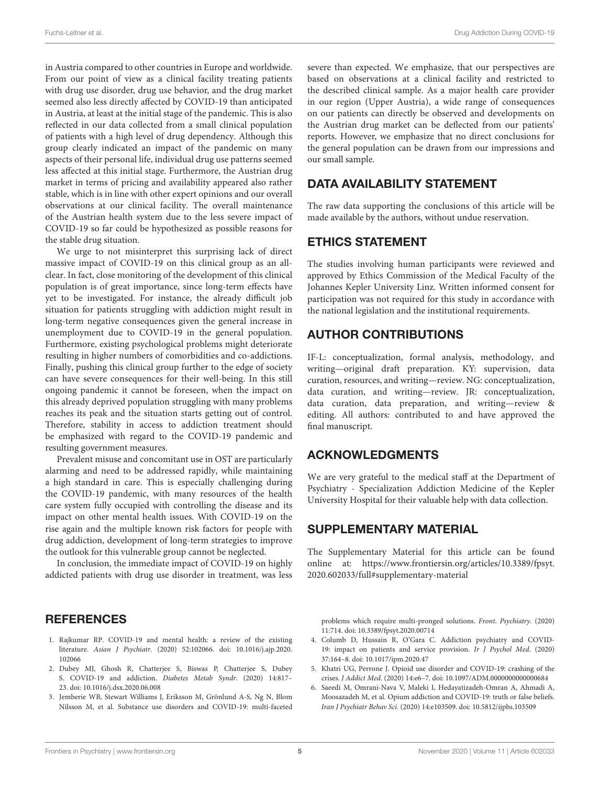in Austria compared to other countries in Europe and worldwide. From our point of view as a clinical facility treating patients with drug use disorder, drug use behavior, and the drug market seemed also less directly affected by COVID-19 than anticipated in Austria, at least at the initial stage of the pandemic. This is also reflected in our data collected from a small clinical population of patients with a high level of drug dependency. Although this group clearly indicated an impact of the pandemic on many aspects of their personal life, individual drug use patterns seemed less affected at this initial stage. Furthermore, the Austrian drug market in terms of pricing and availability appeared also rather stable, which is in line with other expert opinions and our overall observations at our clinical facility. The overall maintenance of the Austrian health system due to the less severe impact of COVID-19 so far could be hypothesized as possible reasons for the stable drug situation.

We urge to not misinterpret this surprising lack of direct massive impact of COVID-19 on this clinical group as an allclear. In fact, close monitoring of the development of this clinical population is of great importance, since long-term effects have yet to be investigated. For instance, the already difficult job situation for patients struggling with addiction might result in long-term negative consequences given the general increase in unemployment due to COVID-19 in the general population. Furthermore, existing psychological problems might deteriorate resulting in higher numbers of comorbidities and co-addictions. Finally, pushing this clinical group further to the edge of society can have severe consequences for their well-being. In this still ongoing pandemic it cannot be foreseen, when the impact on this already deprived population struggling with many problems reaches its peak and the situation starts getting out of control. Therefore, stability in access to addiction treatment should be emphasized with regard to the COVID-19 pandemic and resulting government measures.

Prevalent misuse and concomitant use in OST are particularly alarming and need to be addressed rapidly, while maintaining a high standard in care. This is especially challenging during the COVID-19 pandemic, with many resources of the health care system fully occupied with controlling the disease and its impact on other mental health issues. With COVID-19 on the rise again and the multiple known risk factors for people with drug addiction, development of long-term strategies to improve the outlook for this vulnerable group cannot be neglected.

In conclusion, the immediate impact of COVID-19 on highly addicted patients with drug use disorder in treatment, was less

#### **REFERENCES**

- <span id="page-4-0"></span>1. Rajkumar RP. COVID-19 and mental health: a review of the existing literature. Asian J Psychiatr. [\(2020\) 52:102066. doi: 10.1016/j.ajp.2020.](https://doi.org/10.1016/j.ajp.2020.102066) 102066
- <span id="page-4-1"></span>2. Dubey MJ, Ghosh R, Chatterjee S, Biswas P, Chatterjee S, Dubey S. COVID-19 and addiction. Diabetes Metab Syndr. (2020) 14:817– 23. doi: [10.1016/j.dsx.2020.06.008](https://doi.org/10.1016/j.dsx.2020.06.008)
- <span id="page-4-2"></span>3. Jemberie WB, Stewart Williams J, Eriksson M, Grönlund A-S, Ng N, Blom Nilsson M, et al. Substance use disorders and COVID-19: multi-faceted

severe than expected. We emphasize, that our perspectives are based on observations at a clinical facility and restricted to the described clinical sample. As a major health care provider in our region (Upper Austria), a wide range of consequences on our patients can directly be observed and developments on the Austrian drug market can be deflected from our patients' reports. However, we emphasize that no direct conclusions for the general population can be drawn from our impressions and our small sample.

## DATA AVAILABILITY STATEMENT

The raw data supporting the conclusions of this article will be made available by the authors, without undue reservation.

## ETHICS STATEMENT

The studies involving human participants were reviewed and approved by Ethics Commission of the Medical Faculty of the Johannes Kepler University Linz. Written informed consent for participation was not required for this study in accordance with the national legislation and the institutional requirements.

## AUTHOR CONTRIBUTIONS

IF-L: conceptualization, formal analysis, methodology, and writing—original draft preparation. KY: supervision, data curation, resources, and writing—review. NG: conceptualization, data curation, and writing—review. JR: conceptualization, data curation, data preparation, and writing—review & editing. All authors: contributed to and have approved the final manuscript.

## ACKNOWLEDGMENTS

We are very grateful to the medical staff at the Department of Psychiatry - Specialization Addiction Medicine of the Kepler University Hospital for their valuable help with data collection.

#### SUPPLEMENTARY MATERIAL

<span id="page-4-6"></span>The Supplementary Material for this article can be found [online at: https://www.frontiersin.org/articles/10.3389/fpsyt.](https://www.frontiersin.org/articles/10.3389/fpsyt.2020.602033/full#supplementary-material) 2020.602033/full#supplementary-material

problems which require multi-pronged solutions. Front. Psychiatry. (2020) 11:714. doi: [10.3389/fpsyt.2020.00714](https://doi.org/10.3389/fpsyt.2020.00714)

- <span id="page-4-3"></span>4. Columb D, Hussain R, O'Gara C. Addiction psychiatry and COVID-19: impact on patients and service provision. Ir J Psychol Med. (2020) 37:164–8. doi: [10.1017/ipm.2020.47](https://doi.org/10.1017/ipm.2020.47)
- <span id="page-4-5"></span>5. Khatri UG, Perrone J. Opioid use disorder and COVID-19: crashing of the crises. J Addict Med. (2020) 14:e6–7. doi: [10.1097/ADM.0000000000000684](https://doi.org/10.1097/ADM.0000000000000684)
- <span id="page-4-4"></span>6. Saeedi M, Omrani-Nava V, Maleki I, Hedayatizadeh-Omran A, Ahmadi A, Moosazadeh M, et al. Opium addiction and COVID-19: truth or false beliefs. Iran J Psychiatr Behav Sci. (2020) 14:e103509. doi: [10.5812/ijpbs.103509](https://doi.org/10.5812/ijpbs.103509)